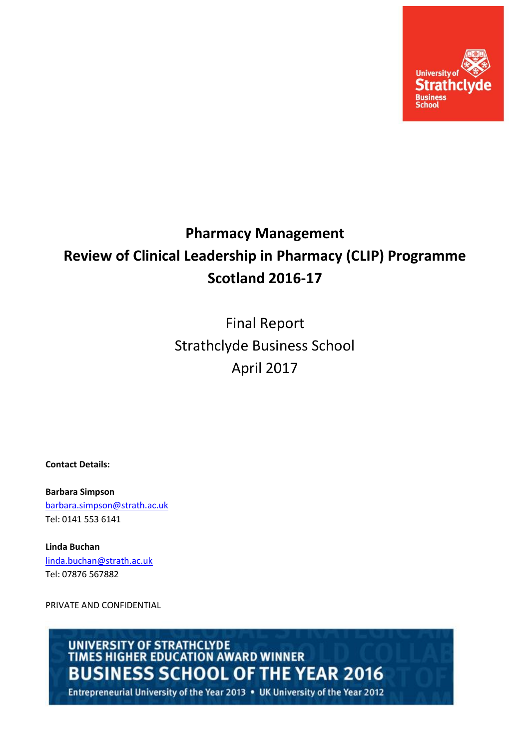

# **Pharmacy Management Review of Clinical Leadership in Pharmacy (CLIP) Programme Scotland 2016-17**

Final Report Strathclyde Business School April 2017

**Contact Details:**

**Barbara Simpson** [barbara.simpson@strath.ac.uk](mailto:barbara.simpson@strath.ac.uk) Tel: 0141 553 6141

**Linda Buchan** [linda.buchan@strath.ac.uk](mailto:linda.buchan@strath.ac.uk) Tel: 07876 567882

PRIVATE AND CONFIDENTIAL

UNIVERSITY OF STRATHCLYDE<br>TIMES HIGHER EDUCATION AWARD WINNER **BUSINESS SCHOOL OF THE YEAR 2016** 

Entrepreneurial University of the Year 2013 . UK University of the Year 2012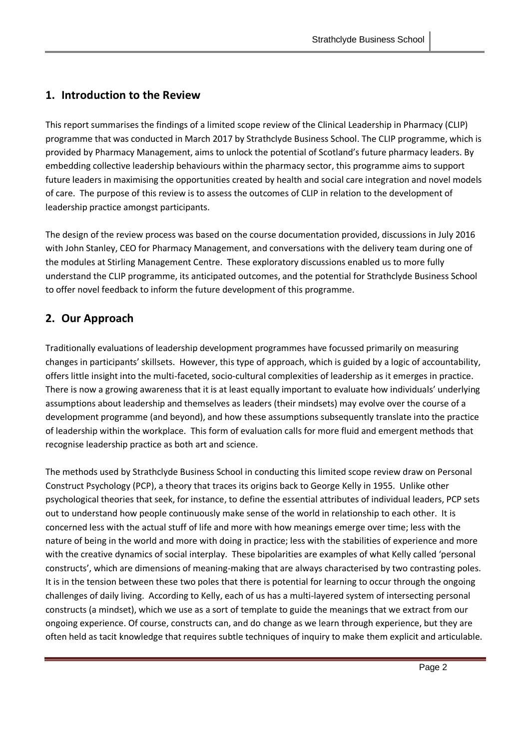## **1. Introduction to the Review**

This report summarises the findings of a limited scope review of the Clinical Leadership in Pharmacy (CLIP) programme that was conducted in March 2017 by Strathclyde Business School. The CLIP programme, which is provided by Pharmacy Management, aims to unlock the potential of Scotland's future pharmacy leaders. By embedding collective leadership behaviours within the pharmacy sector, this programme aims to support future leaders in maximising the opportunities created by health and social care integration and novel models of care. The purpose of this review is to assess the outcomes of CLIP in relation to the development of leadership practice amongst participants.

The design of the review process was based on the course documentation provided, discussions in July 2016 with John Stanley, CEO for Pharmacy Management, and conversations with the delivery team during one of the modules at Stirling Management Centre. These exploratory discussions enabled us to more fully understand the CLIP programme, its anticipated outcomes, and the potential for Strathclyde Business School to offer novel feedback to inform the future development of this programme.

## **2. Our Approach**

Traditionally evaluations of leadership development programmes have focussed primarily on measuring changes in participants' skillsets. However, this type of approach, which is guided by a logic of accountability, offers little insight into the multi-faceted, socio-cultural complexities of leadership as it emerges in practice. There is now a growing awareness that it is at least equally important to evaluate how individuals' underlying assumptions about leadership and themselves as leaders (their mindsets) may evolve over the course of a development programme (and beyond), and how these assumptions subsequently translate into the practice of leadership within the workplace. This form of evaluation calls for more fluid and emergent methods that recognise leadership practice as both art and science.

The methods used by Strathclyde Business School in conducting this limited scope review draw on Personal Construct Psychology (PCP), a theory that traces its origins back to George Kelly in 1955. Unlike other psychological theories that seek, for instance, to define the essential attributes of individual leaders, PCP sets out to understand how people continuously make sense of the world in relationship to each other. It is concerned less with the actual stuff of life and more with how meanings emerge over time; less with the nature of being in the world and more with doing in practice; less with the stabilities of experience and more with the creative dynamics of social interplay. These bipolarities are examples of what Kelly called 'personal constructs', which are dimensions of meaning-making that are always characterised by two contrasting poles. It is in the tension between these two poles that there is potential for learning to occur through the ongoing challenges of daily living. According to Kelly, each of us has a multi-layered system of intersecting personal constructs (a mindset), which we use as a sort of template to guide the meanings that we extract from our ongoing experience. Of course, constructs can, and do change as we learn through experience, but they are often held as tacit knowledge that requires subtle techniques of inquiry to make them explicit and articulable.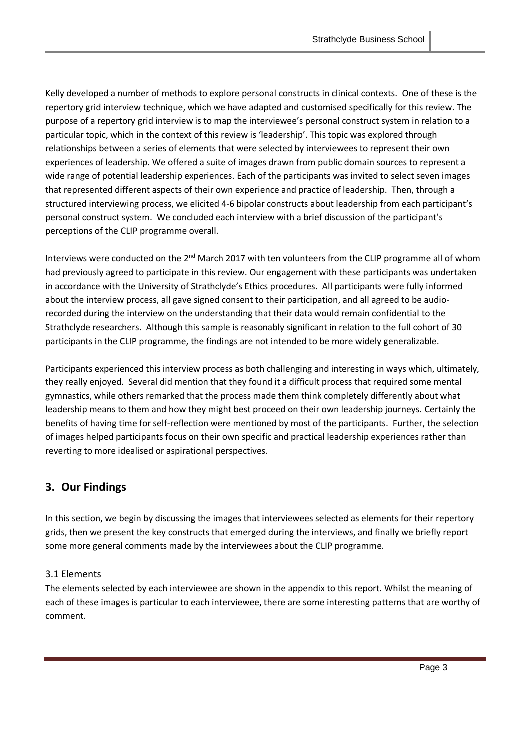Kelly developed a number of methods to explore personal constructs in clinical contexts. One of these is the repertory grid interview technique, which we have adapted and customised specifically for this review. The purpose of a repertory grid interview is to map the interviewee's personal construct system in relation to a particular topic, which in the context of this review is 'leadership'. This topic was explored through relationships between a series of elements that were selected by interviewees to represent their own experiences of leadership. We offered a suite of images drawn from public domain sources to represent a wide range of potential leadership experiences. Each of the participants was invited to select seven images that represented different aspects of their own experience and practice of leadership. Then, through a structured interviewing process, we elicited 4-6 bipolar constructs about leadership from each participant's personal construct system. We concluded each interview with a brief discussion of the participant's perceptions of the CLIP programme overall.

Interviews were conducted on the  $2^{nd}$  March 2017 with ten volunteers from the CLIP programme all of whom had previously agreed to participate in this review. Our engagement with these participants was undertaken in accordance with the University of Strathclyde's Ethics procedures. All participants were fully informed about the interview process, all gave signed consent to their participation, and all agreed to be audiorecorded during the interview on the understanding that their data would remain confidential to the Strathclyde researchers. Although this sample is reasonably significant in relation to the full cohort of 30 participants in the CLIP programme, the findings are not intended to be more widely generalizable.

Participants experienced this interview process as both challenging and interesting in ways which, ultimately, they really enjoyed. Several did mention that they found it a difficult process that required some mental gymnastics, while others remarked that the process made them think completely differently about what leadership means to them and how they might best proceed on their own leadership journeys. Certainly the benefits of having time for self-reflection were mentioned by most of the participants. Further, the selection of images helped participants focus on their own specific and practical leadership experiences rather than reverting to more idealised or aspirational perspectives.

## **3. Our Findings**

In this section, we begin by discussing the images that interviewees selected as elements for their repertory grids, then we present the key constructs that emerged during the interviews, and finally we briefly report some more general comments made by the interviewees about the CLIP programme.

#### 3.1 Elements

The elements selected by each interviewee are shown in the appendix to this report. Whilst the meaning of each of these images is particular to each interviewee, there are some interesting patterns that are worthy of comment.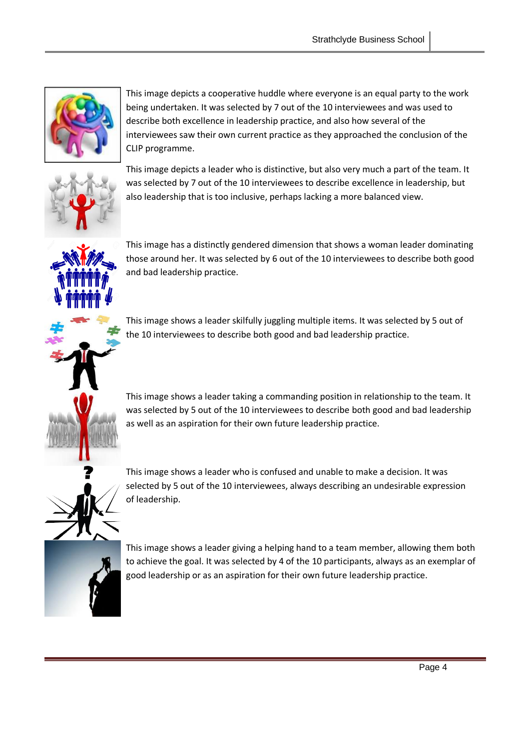

This image depicts a cooperative huddle where everyone is an equal party to the work being undertaken. It was selected by 7 out of the 10 interviewees and was used to describe both excellence in leadership practice, and also how several of the interviewees saw their own current practice as they approached the conclusion of the CLIP programme.



This image depicts a leader who is distinctive, but also very much a part of the team. It was selected by 7 out of the 10 interviewees to describe excellence in leadership, but also leadership that is too inclusive, perhaps lacking a more balanced view.



This image has a distinctly gendered dimension that shows a woman leader dominating those around her. It was selected by 6 out of the 10 interviewees to describe both good and bad leadership practice.

This image shows a leader skilfully juggling multiple items. It was selected by 5 out of the 10 interviewees to describe both good and bad leadership practice.

This image shows a leader taking a commanding position in relationship to the team. It was selected by 5 out of the 10 interviewees to describe both good and bad leadership as well as an aspiration for their own future leadership practice.



This image shows a leader who is confused and unable to make a decision. It was selected by 5 out of the 10 interviewees, always describing an undesirable expression of leadership.

This image shows a leader giving a helping hand to a team member, allowing them both to achieve the goal. It was selected by 4 of the 10 participants, always as an exemplar of good leadership or as an aspiration for their own future leadership practice.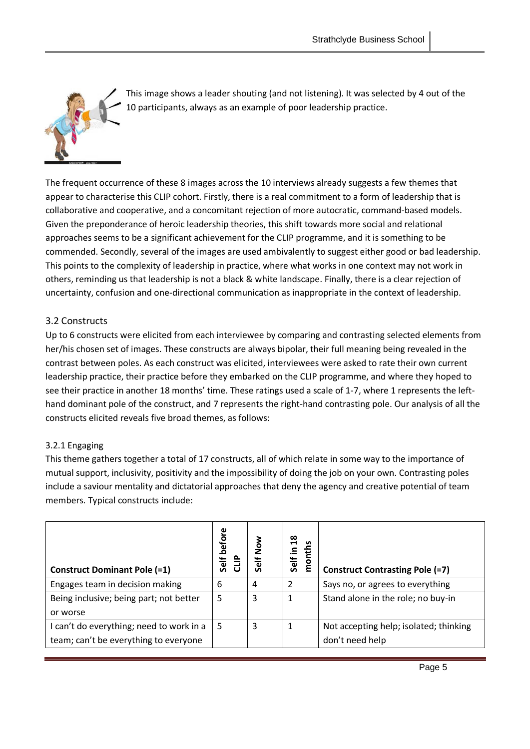

This image shows a leader shouting (and not listening). It was selected by 4 out of the 10 participants, always as an example of poor leadership practice.

The frequent occurrence of these 8 images across the 10 interviews already suggests a few themes that appear to characterise this CLIP cohort. Firstly, there is a real commitment to a form of leadership that is collaborative and cooperative, and a concomitant rejection of more autocratic, command-based models. Given the preponderance of heroic leadership theories, this shift towards more social and relational approaches seems to be a significant achievement for the CLIP programme, and it is something to be commended. Secondly, several of the images are used ambivalently to suggest either good or bad leadership. This points to the complexity of leadership in practice, where what works in one context may not work in others, reminding us that leadership is not a black & white landscape. Finally, there is a clear rejection of uncertainty, confusion and one-directional communication as inappropriate in the context of leadership.

#### 3.2 Constructs

Up to 6 constructs were elicited from each interviewee by comparing and contrasting selected elements from her/his chosen set of images. These constructs are always bipolar, their full meaning being revealed in the contrast between poles. As each construct was elicited, interviewees were asked to rate their own current leadership practice, their practice before they embarked on the CLIP programme, and where they hoped to see their practice in another 18 months' time. These ratings used a scale of 1-7, where 1 represents the lefthand dominant pole of the construct, and 7 represents the right-hand contrasting pole. Our analysis of all the constructs elicited reveals five broad themes, as follows:

#### 3.2.1 Engaging

This theme gathers together a total of 17 constructs, all of which relate in some way to the importance of mutual support, inclusivity, positivity and the impossibility of doing the job on your own. Contrasting poles include a saviour mentality and dictatorial approaches that deny the agency and creative potential of team members. Typical constructs include:

| <b>Construct Dominant Pole (=1)</b>                 | Self before | Now<br>Self    | $\frac{8}{1}$<br>S<br>Ë<br>Self in<br>g | <b>Construct Contrasting Pole (=7)</b> |
|-----------------------------------------------------|-------------|----------------|-----------------------------------------|----------------------------------------|
| Engages team in decision making                     | 6           | $\overline{4}$ | 2                                       | Says no, or agrees to everything       |
| Being inclusive; being part; not better<br>or worse | 5           | 3              |                                         | Stand alone in the role; no buy-in     |
| I can't do everything; need to work in a            | .5          | 3              |                                         | Not accepting help; isolated; thinking |
| team; can't be everything to everyone               |             |                |                                         | don't need help                        |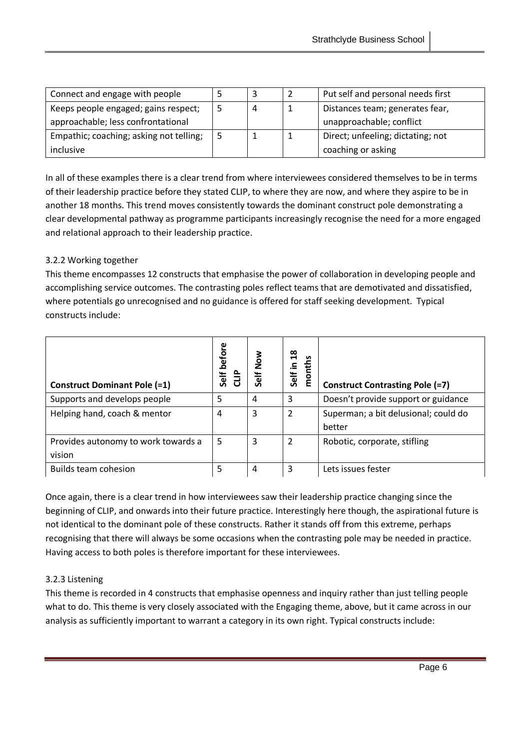| Connect and engage with people          |   | Put self and personal needs first |
|-----------------------------------------|---|-----------------------------------|
| Keeps people engaged; gains respect;    | 4 | Distances team; generates fear,   |
| approachable; less confrontational      |   | unapproachable; conflict          |
| Empathic; coaching; asking not telling; |   | Direct; unfeeling; dictating; not |
| inclusive                               |   | coaching or asking                |

In all of these examples there is a clear trend from where interviewees considered themselves to be in terms of their leadership practice before they stated CLIP, to where they are now, and where they aspire to be in another 18 months. This trend moves consistently towards the dominant construct pole demonstrating a clear developmental pathway as programme participants increasingly recognise the need for a more engaged and relational approach to their leadership practice.

#### 3.2.2 Working together

This theme encompasses 12 constructs that emphasise the power of collaboration in developing people and accomplishing service outcomes. The contrasting poles reflect teams that are demotivated and dissatisfied, where potentials go unrecognised and no guidance is offered for staff seeking development. Typical constructs include:

| <b>Construct Dominant Pole (=1)</b>           | Self before | Self Now | $\frac{8}{18}$<br>months<br>Self in | <b>Construct Contrasting Pole (=7)</b>         |
|-----------------------------------------------|-------------|----------|-------------------------------------|------------------------------------------------|
| Supports and develops people                  | 5           | 4        | 3                                   | Doesn't provide support or guidance            |
| Helping hand, coach & mentor                  | 4           | 3        | 2                                   | Superman; a bit delusional; could do<br>better |
| Provides autonomy to work towards a<br>vision | 5           | 3        | 2                                   | Robotic, corporate, stifling                   |
| Builds team cohesion                          | 5           | 4        | 3                                   | Lets issues fester                             |

Once again, there is a clear trend in how interviewees saw their leadership practice changing since the beginning of CLIP, and onwards into their future practice. Interestingly here though, the aspirational future is not identical to the dominant pole of these constructs. Rather it stands off from this extreme, perhaps recognising that there will always be some occasions when the contrasting pole may be needed in practice. Having access to both poles is therefore important for these interviewees.

#### 3.2.3 Listening

This theme is recorded in 4 constructs that emphasise openness and inquiry rather than just telling people what to do. This theme is very closely associated with the Engaging theme, above, but it came across in our analysis as sufficiently important to warrant a category in its own right. Typical constructs include: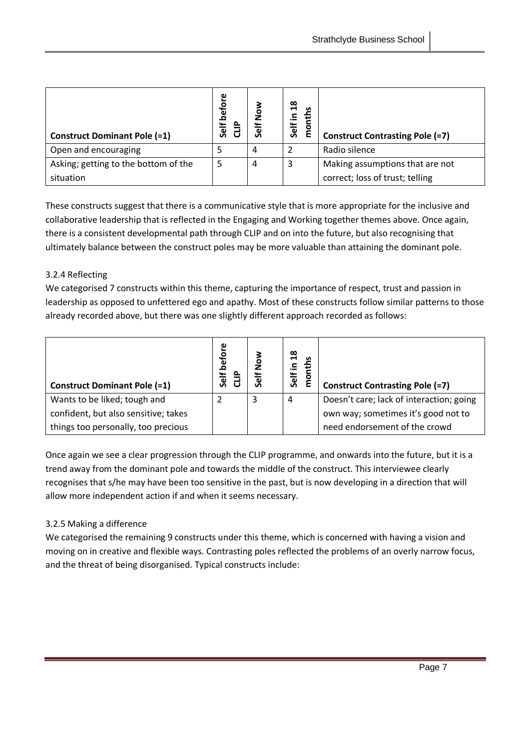| <b>Construct Dominant Pole (=1)</b>  | before<br><b>Self</b> | Ö<br>ž<br>Self | $\frac{8}{10}$<br>s<br>.≘<br>Self | <b>Construct Contrasting Pole (=7)</b> |
|--------------------------------------|-----------------------|----------------|-----------------------------------|----------------------------------------|
| Open and encouraging                 |                       | 4              |                                   | Radio silence                          |
| Asking; getting to the bottom of the | 5                     | 4              | 3                                 | Making assumptions that are not        |
| situation                            |                       |                |                                   | correct; loss of trust; telling        |

These constructs suggest that there is a communicative style that is more appropriate for the inclusive and collaborative leadership that is reflected in the Engaging and Working together themes above. Once again, there is a consistent developmental path through CLIP and on into the future, but also recognising that ultimately balance between the construct poles may be more valuable than attaining the dominant pole.

#### 3.2.4 Reflecting

We categorised 7 constructs within this theme, capturing the importance of respect, trust and passion in leadership as opposed to unfettered ego and apathy. Most of these constructs follow similar patterns to those already recorded above, but there was one slightly different approach recorded as follows:

| <b>Construct Dominant Pole (=1)</b>  | before<br>Self | <u>ة</u><br>Self | $\frac{8}{18}$<br>ؿ<br>$\equiv$<br>Self | <b>Construct Contrasting Pole (=7)</b>   |
|--------------------------------------|----------------|------------------|-----------------------------------------|------------------------------------------|
| Wants to be liked; tough and         |                | 3                | 4                                       | Doesn't care; lack of interaction; going |
| confident, but also sensitive; takes |                |                  |                                         | own way; sometimes it's good not to      |
| things too personally, too precious  |                |                  |                                         | need endorsement of the crowd            |

Once again we see a clear progression through the CLIP programme, and onwards into the future, but it is a trend away from the dominant pole and towards the middle of the construct. This interviewee clearly recognises that s/he may have been too sensitive in the past, but is now developing in a direction that will allow more independent action if and when it seems necessary.

#### 3.2.5 Making a difference

We categorised the remaining 9 constructs under this theme, which is concerned with having a vision and moving on in creative and flexible ways. Contrasting poles reflected the problems of an overly narrow focus, and the threat of being disorganised. Typical constructs include: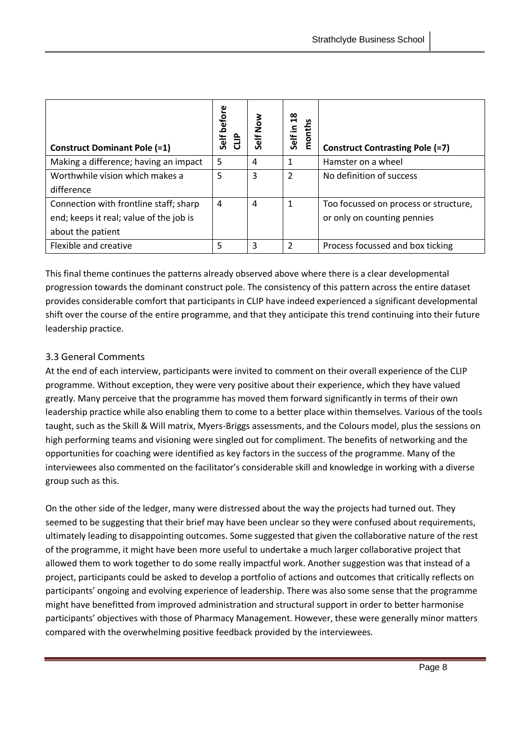| <b>Construct Dominant Pole (=1)</b>     | Self before<br>å | Self Now | $\frac{8}{18}$<br>months<br>Self in | <b>Construct Contrasting Pole (=7)</b> |
|-----------------------------------------|------------------|----------|-------------------------------------|----------------------------------------|
| Making a difference; having an impact   | 5                | 4        | 1                                   | Hamster on a wheel                     |
| Worthwhile vision which makes a         | 5                | 3        | 2                                   | No definition of success               |
| difference                              |                  |          |                                     |                                        |
| Connection with frontline staff; sharp  | 4                | 4        | 1                                   | Too focussed on process or structure,  |
| end; keeps it real; value of the job is |                  |          |                                     | or only on counting pennies            |
| about the patient                       |                  |          |                                     |                                        |
| Flexible and creative                   | 5                | 3        | 2                                   | Process focussed and box ticking       |

This final theme continues the patterns already observed above where there is a clear developmental progression towards the dominant construct pole. The consistency of this pattern across the entire dataset provides considerable comfort that participants in CLIP have indeed experienced a significant developmental shift over the course of the entire programme, and that they anticipate this trend continuing into their future leadership practice.

#### 3.3 General Comments

At the end of each interview, participants were invited to comment on their overall experience of the CLIP programme. Without exception, they were very positive about their experience, which they have valued greatly. Many perceive that the programme has moved them forward significantly in terms of their own leadership practice while also enabling them to come to a better place within themselves. Various of the tools taught, such as the Skill & Will matrix, Myers-Briggs assessments, and the Colours model, plus the sessions on high performing teams and visioning were singled out for compliment. The benefits of networking and the opportunities for coaching were identified as key factors in the success of the programme. Many of the interviewees also commented on the facilitator's considerable skill and knowledge in working with a diverse group such as this.

On the other side of the ledger, many were distressed about the way the projects had turned out. They seemed to be suggesting that their brief may have been unclear so they were confused about requirements, ultimately leading to disappointing outcomes. Some suggested that given the collaborative nature of the rest of the programme, it might have been more useful to undertake a much larger collaborative project that allowed them to work together to do some really impactful work. Another suggestion was that instead of a project, participants could be asked to develop a portfolio of actions and outcomes that critically reflects on participants' ongoing and evolving experience of leadership. There was also some sense that the programme might have benefitted from improved administration and structural support in order to better harmonise participants' objectives with those of Pharmacy Management. However, these were generally minor matters compared with the overwhelming positive feedback provided by the interviewees.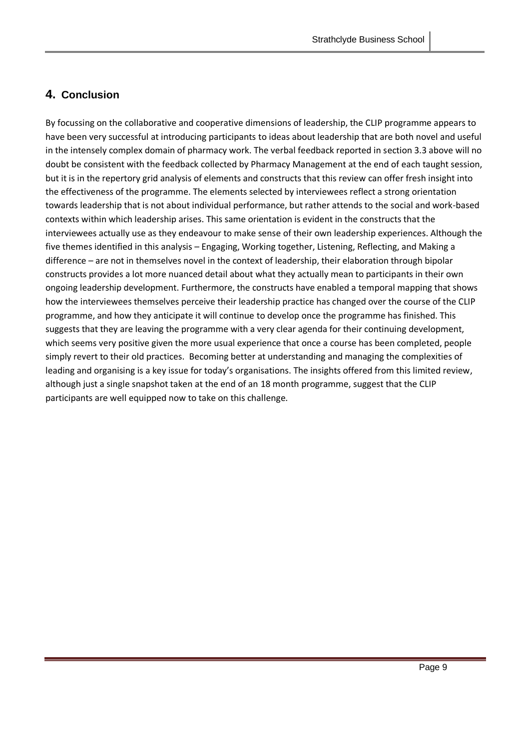### **4. Conclusion**

By focussing on the collaborative and cooperative dimensions of leadership, the CLIP programme appears to have been very successful at introducing participants to ideas about leadership that are both novel and useful in the intensely complex domain of pharmacy work. The verbal feedback reported in section 3.3 above will no doubt be consistent with the feedback collected by Pharmacy Management at the end of each taught session, but it is in the repertory grid analysis of elements and constructs that this review can offer fresh insight into the effectiveness of the programme. The elements selected by interviewees reflect a strong orientation towards leadership that is not about individual performance, but rather attends to the social and work-based contexts within which leadership arises. This same orientation is evident in the constructs that the interviewees actually use as they endeavour to make sense of their own leadership experiences. Although the five themes identified in this analysis – Engaging, Working together, Listening, Reflecting, and Making a difference – are not in themselves novel in the context of leadership, their elaboration through bipolar constructs provides a lot more nuanced detail about what they actually mean to participants in their own ongoing leadership development. Furthermore, the constructs have enabled a temporal mapping that shows how the interviewees themselves perceive their leadership practice has changed over the course of the CLIP programme, and how they anticipate it will continue to develop once the programme has finished. This suggests that they are leaving the programme with a very clear agenda for their continuing development, which seems very positive given the more usual experience that once a course has been completed, people simply revert to their old practices. Becoming better at understanding and managing the complexities of leading and organising is a key issue for today's organisations. The insights offered from this limited review, although just a single snapshot taken at the end of an 18 month programme, suggest that the CLIP participants are well equipped now to take on this challenge.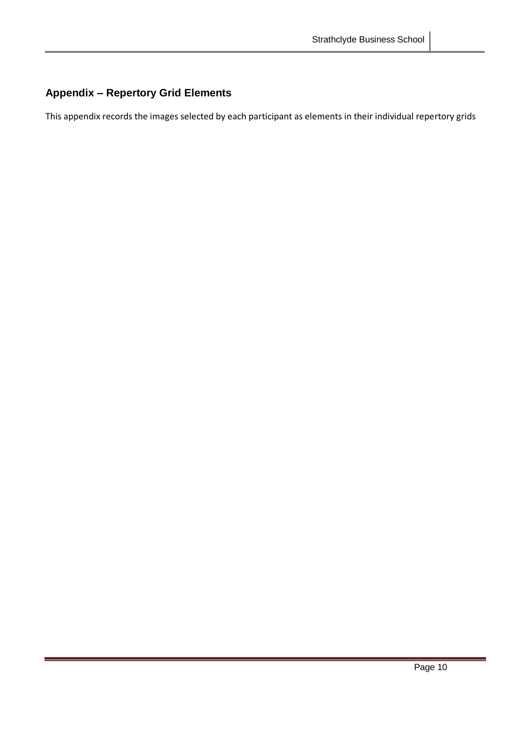## **Appendix – Repertory Grid Elements**

This appendix records the images selected by each participant as elements in their individual repertory grids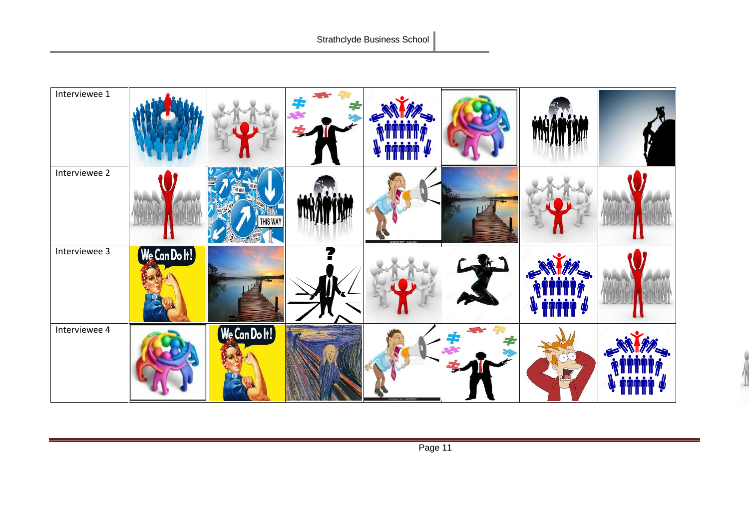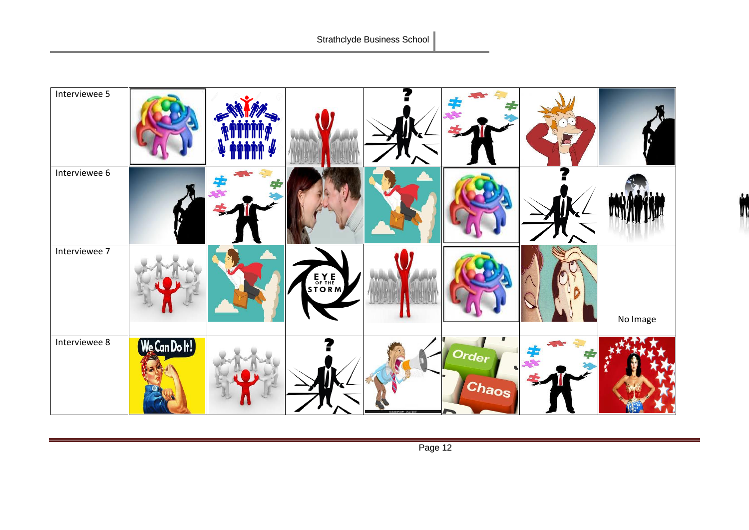

 $\overline{\mathbf{v}}$  $\blacksquare$